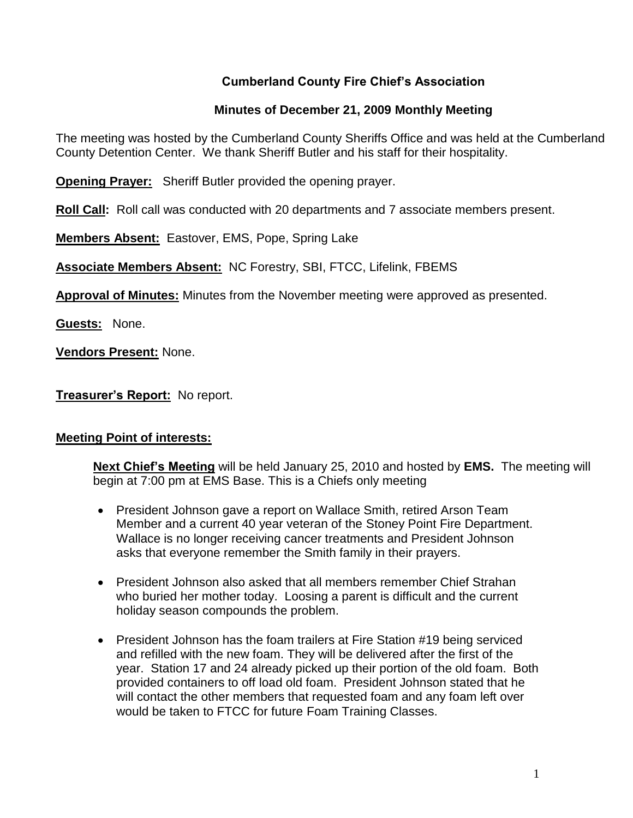# **Cumberland County Fire Chief's Association**

### **Minutes of December 21, 2009 Monthly Meeting**

The meeting was hosted by the Cumberland County Sheriffs Office and was held at the Cumberland County Detention Center. We thank Sheriff Butler and his staff for their hospitality.

**Opening Prayer:** Sheriff Butler provided the opening prayer.

**Roll Call:** Roll call was conducted with 20 departments and 7 associate members present.

**Members Absent:** Eastover, EMS, Pope, Spring Lake

**Associate Members Absent:** NC Forestry, SBI, FTCC, Lifelink, FBEMS

**Approval of Minutes:** Minutes from the November meeting were approved as presented.

**Guests:** None.

**Vendors Present:** None.

**Treasurer's Report:** No report.

### **Meeting Point of interests:**

**Next Chief's Meeting** will be held January 25, 2010 and hosted by **EMS.** The meeting will begin at 7:00 pm at EMS Base. This is a Chiefs only meeting

- President Johnson gave a report on Wallace Smith, retired Arson Team Member and a current 40 year veteran of the Stoney Point Fire Department. Wallace is no longer receiving cancer treatments and President Johnson asks that everyone remember the Smith family in their prayers.
- President Johnson also asked that all members remember Chief Strahan who buried her mother today. Loosing a parent is difficult and the current holiday season compounds the problem.
- President Johnson has the foam trailers at Fire Station #19 being serviced and refilled with the new foam. They will be delivered after the first of the year. Station 17 and 24 already picked up their portion of the old foam. Both provided containers to off load old foam. President Johnson stated that he will contact the other members that requested foam and any foam left over would be taken to FTCC for future Foam Training Classes.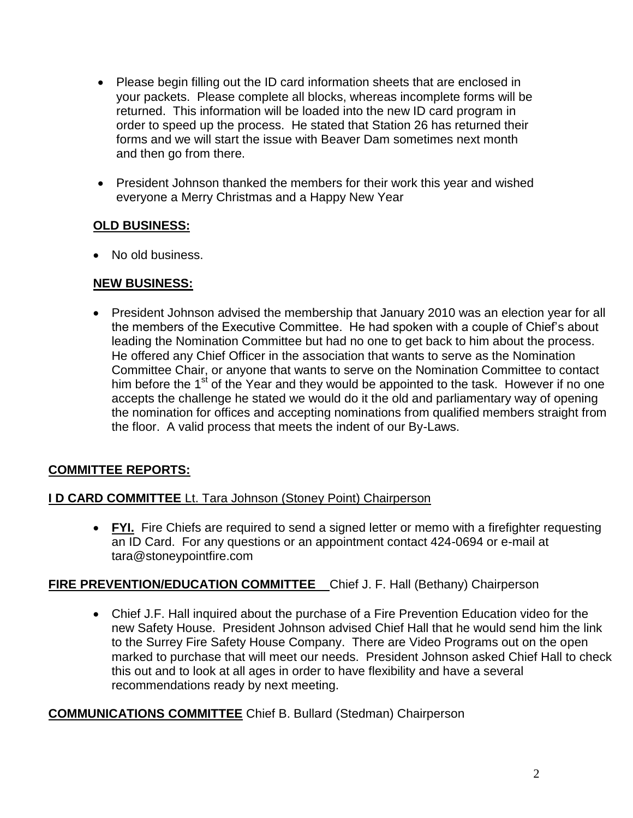- Please begin filling out the ID card information sheets that are enclosed in your packets. Please complete all blocks, whereas incomplete forms will be returned. This information will be loaded into the new ID card program in order to speed up the process. He stated that Station 26 has returned their forms and we will start the issue with Beaver Dam sometimes next month and then go from there.
- President Johnson thanked the members for their work this year and wished everyone a Merry Christmas and a Happy New Year

# **OLD BUSINESS:**

• No old business.

# **NEW BUSINESS:**

• President Johnson advised the membership that January 2010 was an election year for all the members of the Executive Committee. He had spoken with a couple of Chief's about leading the Nomination Committee but had no one to get back to him about the process. He offered any Chief Officer in the association that wants to serve as the Nomination Committee Chair, or anyone that wants to serve on the Nomination Committee to contact him before the  $1<sup>st</sup>$  of the Year and they would be appointed to the task. However if no one accepts the challenge he stated we would do it the old and parliamentary way of opening the nomination for offices and accepting nominations from qualified members straight from the floor. A valid process that meets the indent of our By-Laws.

# **COMMITTEE REPORTS:**

### **I D CARD COMMITTEE** Lt. Tara Johnson (Stoney Point) Chairperson

• FYI. Fire Chiefs are required to send a signed letter or memo with a firefighter requesting an ID Card. For any questions or an appointment contact 424-0694 or e-mail at [tara@stoneypointfire.com](mailto:tara@stoneypointfire.com)

### **FIRE PREVENTION/EDUCATION COMMITTEE** Chief J. F. Hall (Bethany) Chairperson

 Chief J.F. Hall inquired about the purchase of a Fire Prevention Education video for the new Safety House. President Johnson advised Chief Hall that he would send him the link to the Surrey Fire Safety House Company. There are Video Programs out on the open marked to purchase that will meet our needs. President Johnson asked Chief Hall to check this out and to look at all ages in order to have flexibility and have a several recommendations ready by next meeting.

### **COMMUNICATIONS COMMITTEE** Chief B. Bullard (Stedman) Chairperson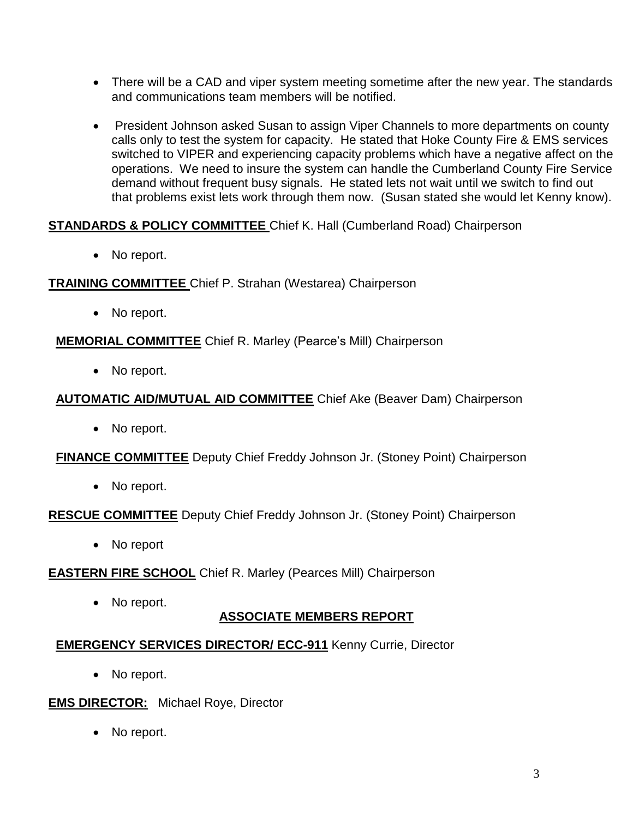- There will be a CAD and viper system meeting sometime after the new year. The standards and communications team members will be notified.
- President Johnson asked Susan to assign Viper Channels to more departments on county calls only to test the system for capacity. He stated that Hoke County Fire & EMS services switched to VIPER and experiencing capacity problems which have a negative affect on the operations. We need to insure the system can handle the Cumberland County Fire Service demand without frequent busy signals. He stated lets not wait until we switch to find out that problems exist lets work through them now. (Susan stated she would let Kenny know).

### **STANDARDS & POLICY COMMITTEE** Chief K. Hall (Cumberland Road) Chairperson

• No report.

**TRAINING COMMITTEE** Chief P. Strahan (Westarea) Chairperson

• No report.

**MEMORIAL COMMITTEE** Chief R. Marley (Pearce's Mill) Chairperson

• No report.

#### **AUTOMATIC AID/MUTUAL AID COMMITTEE** Chief Ake (Beaver Dam) Chairperson

• No report.

**FINANCE COMMITTEE** Deputy Chief Freddy Johnson Jr. (Stoney Point) Chairperson

• No report.

**RESCUE COMMITTEE** Deputy Chief Freddy Johnson Jr. (Stoney Point) Chairperson

• No report

**EASTERN FIRE SCHOOL** Chief R. Marley (Pearces Mill) Chairperson

• No report.

# **ASSOCIATE MEMBERS REPORT**

### **EMERGENCY SERVICES DIRECTOR/ ECC-911** Kenny Currie, Director

• No report.

#### **EMS DIRECTOR:** Michael Roye, Director

• No report.